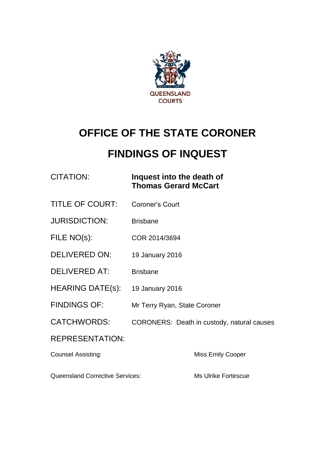

# **OFFICE OF THE STATE CORONER**

## **FINDINGS OF INQUEST**

| CITATION: | Inquest into the death of   |
|-----------|-----------------------------|
|           | <b>Thomas Gerard McCart</b> |

- TITLE OF COURT: Coroner's Court
- JURISDICTION: Brisbane
- FILE NO(s): COR 2014/3694
- DELIVERED ON: 19 January 2016
- DELIVERED AT: Brisbane
- HEARING DATE(s): 19 January 2016
- FINDINGS OF: Mr Terry Ryan, State Coroner
- CATCHWORDS: CORONERS: Death in custody, natural causes

#### REPRESENTATION:

**Counsel Assisting:** Counsel Assisting: Miss Emily Cooper

Queensland Corrective Services: Ms Ulrike Fortescue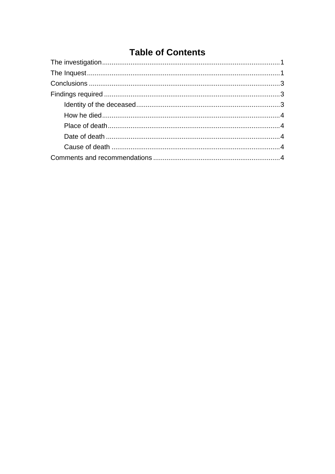### **Table of Contents**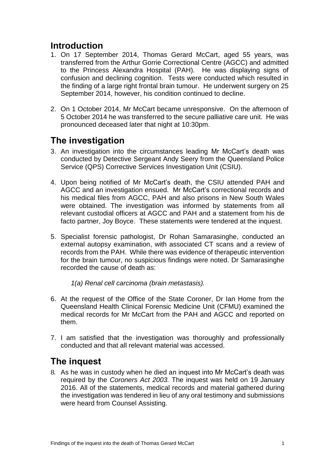#### **Introduction**

- 1. On 17 September 2014, Thomas Gerard McCart, aged 55 years, was transferred from the Arthur Gorrie Correctional Centre (AGCC) and admitted to the Princess Alexandra Hospital (PAH). He was displaying signs of confusion and declining cognition. Tests were conducted which resulted in the finding of a large right frontal brain tumour. He underwent surgery on 25 September 2014, however, his condition continued to decline.
- 2. On 1 October 2014, Mr McCart became unresponsive. On the afternoon of 5 October 2014 he was transferred to the secure palliative care unit. He was pronounced deceased later that night at 10:30pm.

#### <span id="page-2-0"></span>**The investigation**

- 3. An investigation into the circumstances leading Mr McCart's death was conducted by Detective Sergeant Andy Seery from the Queensland Police Service (QPS) Corrective Services Investigation Unit (CSIU).
- 4. Upon being notified of Mr McCart's death, the CSIU attended PAH and AGCC and an investigation ensued. Mr McCart's correctional records and his medical files from AGCC, PAH and also prisons in New South Wales were obtained. The investigation was informed by statements from all relevant custodial officers at AGCC and PAH and a statement from his de facto partner, Joy Boyce. These statements were tendered at the inquest.
- 5. Specialist forensic pathologist, Dr Rohan Samarasinghe, conducted an external autopsy examination, with associated CT scans and a review of records from the PAH. While there was evidence of therapeutic intervention for the brain tumour, no suspicious findings were noted. Dr Samarasinghe recorded the cause of death as:
	- *1(a) Renal cell carcinoma (brain metastasis).*
- 6. At the request of the Office of the State Coroner, Dr Ian Home from the Queensland Health Clinical Forensic Medicine Unit (CFMU) examined the medical records for Mr McCart from the PAH and AGCC and reported on them.
- 7. I am satisfied that the investigation was thoroughly and professionally conducted and that all relevant material was accessed.

#### <span id="page-2-1"></span>**The inquest**

8. As he was in custody when he died an inquest into Mr McCart's death was required by the *Coroners Act 2003.* The inquest was held on 19 January 2016. All of the statements, medical records and material gathered during the investigation was tendered in lieu of any oral testimony and submissions were heard from Counsel Assisting.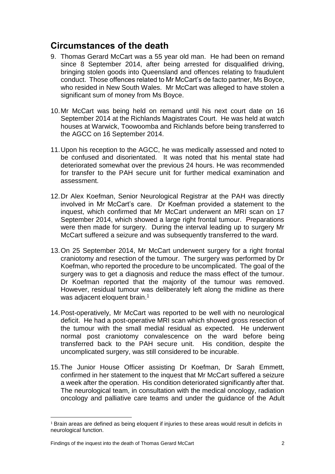### **Circumstances of the death**

- 9. Thomas Gerard McCart was a 55 year old man. He had been on remand since 8 September 2014, after being arrested for disqualified driving, bringing stolen goods into Queensland and offences relating to fraudulent conduct. Those offences related to Mr McCart's de facto partner, Ms Boyce, who resided in New South Wales. Mr McCart was alleged to have stolen a significant sum of money from Ms Boyce.
- 10.Mr McCart was being held on remand until his next court date on 16 September 2014 at the Richlands Magistrates Court. He was held at watch houses at Warwick, Toowoomba and Richlands before being transferred to the AGCC on 16 September 2014.
- 11.Upon his reception to the AGCC, he was medically assessed and noted to be confused and disorientated. It was noted that his mental state had deteriorated somewhat over the previous 24 hours. He was recommended for transfer to the PAH secure unit for further medical examination and assessment.
- 12.Dr Alex Koefman, Senior Neurological Registrar at the PAH was directly involved in Mr McCart's care. Dr Koefman provided a statement to the inquest, which confirmed that Mr McCart underwent an MRI scan on 17 September 2014, which showed a large right frontal tumour. Preparations were then made for surgery. During the interval leading up to surgery Mr McCart suffered a seizure and was subsequently transferred to the ward.
- 13.On 25 September 2014, Mr McCart underwent surgery for a right frontal craniotomy and resection of the tumour. The surgery was performed by Dr Koefman, who reported the procedure to be uncomplicated. The goal of the surgery was to get a diagnosis and reduce the mass effect of the tumour. Dr Koefman reported that the majority of the tumour was removed. However, residual tumour was deliberately left along the midline as there was adjacent eloquent brain.<sup>1</sup>
- 14.Post-operatively, Mr McCart was reported to be well with no neurological deficit. He had a post-operative MRI scan which showed gross resection of the tumour with the small medial residual as expected. He underwent normal post craniotomy convalescence on the ward before being transferred back to the PAH secure unit. His condition, despite the uncomplicated surgery, was still considered to be incurable.
- 15.The Junior House Officer assisting Dr Koefman, Dr Sarah Emmett, confirmed in her statement to the inquest that Mr McCart suffered a seizure a week after the operation. His condition deteriorated significantly after that. The neurological team, in consultation with the medical oncology, radiation oncology and palliative care teams and under the guidance of the Adult

 $\overline{\phantom{a}}$ 

<sup>&</sup>lt;sup>1</sup> Brain areas are defined as being eloquent if injuries to these areas would result in deficits in neurological function.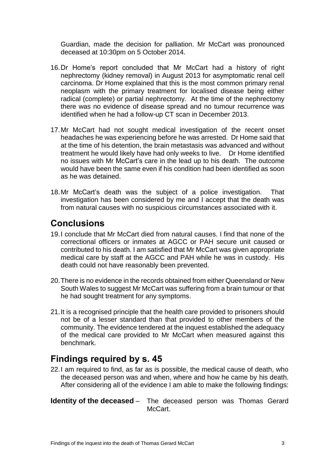Guardian, made the decision for palliation. Mr McCart was pronounced deceased at 10:30pm on 5 October 2014.

- 16.Dr Home's report concluded that Mr McCart had a history of right nephrectomy (kidney removal) in August 2013 for asymptomatic renal cell carcinoma. Dr Home explained that this is the most common primary renal neoplasm with the primary treatment for localised disease being either radical (complete) or partial nephrectomy. At the time of the nephrectomy there was no evidence of disease spread and no tumour recurrence was identified when he had a follow-up CT scan in December 2013.
- 17.Mr McCart had not sought medical investigation of the recent onset headaches he was experiencing before he was arrested. Dr Home said that at the time of his detention, the brain metastasis was advanced and without treatment he would likely have had only weeks to live. Dr Home identified no issues with Mr McCart's care in the lead up to his death. The outcome would have been the same even if his condition had been identified as soon as he was detained.
- 18.Mr McCart's death was the subject of a police investigation. That investigation has been considered by me and I accept that the death was from natural causes with no suspicious circumstances associated with it.

#### <span id="page-4-0"></span>**Conclusions**

- 19.I conclude that Mr McCart died from natural causes. I find that none of the correctional officers or inmates at AGCC or PAH secure unit caused or contributed to his death. I am satisfied that Mr McCart was given appropriate medical care by staff at the AGCC and PAH while he was in custody. His death could not have reasonably been prevented.
- 20.There is no evidence in the records obtained from either Queensland or New South Wales to suggest Mr McCart was suffering from a brain tumour or that he had sought treatment for any symptoms.
- 21.It is a recognised principle that the health care provided to prisoners should not be of a lesser standard than that provided to other members of the community. The evidence tendered at the inquest established the adequacy of the medical care provided to Mr McCart when measured against this benchmark.

#### <span id="page-4-1"></span>**Findings required by s. 45**

22.I am required to find, as far as is possible, the medical cause of death, who the deceased person was and when, where and how he came by his death. After considering all of the evidence I am able to make the following findings:

<span id="page-4-2"></span>**Identity of the deceased** – The deceased person was Thomas Gerard McCart.